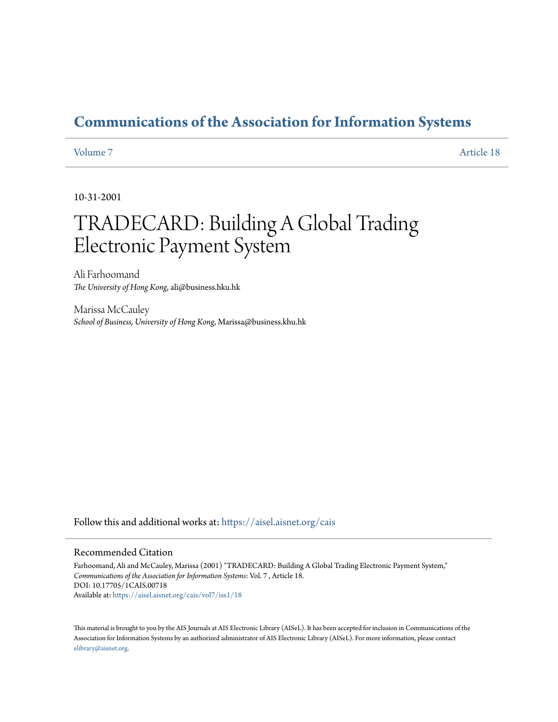# **[Communications of the Association for Information Systems](https://aisel.aisnet.org/cais?utm_source=aisel.aisnet.org%2Fcais%2Fvol7%2Fiss1%2F18&utm_medium=PDF&utm_campaign=PDFCoverPages)**

[Volume 7](https://aisel.aisnet.org/cais/vol7?utm_source=aisel.aisnet.org%2Fcais%2Fvol7%2Fiss1%2F18&utm_medium=PDF&utm_campaign=PDFCoverPages) [Article 18](https://aisel.aisnet.org/cais/vol7/iss1/18?utm_source=aisel.aisnet.org%2Fcais%2Fvol7%2Fiss1%2F18&utm_medium=PDF&utm_campaign=PDFCoverPages)

10-31-2001

# TRADECARD: Building A Global Trading Electronic Payment System

Ali Farhoomand *The University of Hong Kong*, ali@business.hku.hk

Marissa McCauley *School of Business, University of Hong Kong*, Marissa@business.khu.hk

Follow this and additional works at: [https://aisel.aisnet.org/cais](https://aisel.aisnet.org/cais?utm_source=aisel.aisnet.org%2Fcais%2Fvol7%2Fiss1%2F18&utm_medium=PDF&utm_campaign=PDFCoverPages)

#### Recommended Citation

Farhoomand, Ali and McCauley, Marissa (2001) "TRADECARD: Building A Global Trading Electronic Payment System," *Communications of the Association for Information Systems*: Vol. 7 , Article 18. DOI: 10.17705/1CAIS.00718 Available at: [https://aisel.aisnet.org/cais/vol7/iss1/18](https://aisel.aisnet.org/cais/vol7/iss1/18?utm_source=aisel.aisnet.org%2Fcais%2Fvol7%2Fiss1%2F18&utm_medium=PDF&utm_campaign=PDFCoverPages)

This material is brought to you by the AIS Journals at AIS Electronic Library (AISeL). It has been accepted for inclusion in Communications of the Association for Information Systems by an authorized administrator of AIS Electronic Library (AISeL). For more information, please contact [elibrary@aisnet.org.](mailto:elibrary@aisnet.org%3E)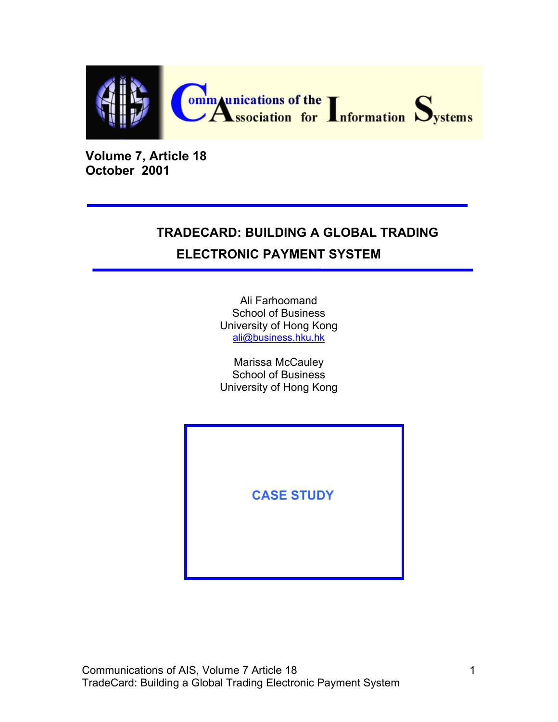

 **Volume 7, Article 18 October 2001** 

# **TRADECARD: BUILDING A GLOBAL TRADING**

# **ELECTRONIC PAYMENT SYSTEM**

Ali Farhoomand School of Business University of Hong Kong ali@business.hku.hk

Marissa McCauley School of Business University of Hong Kong

 **CASE STUDY**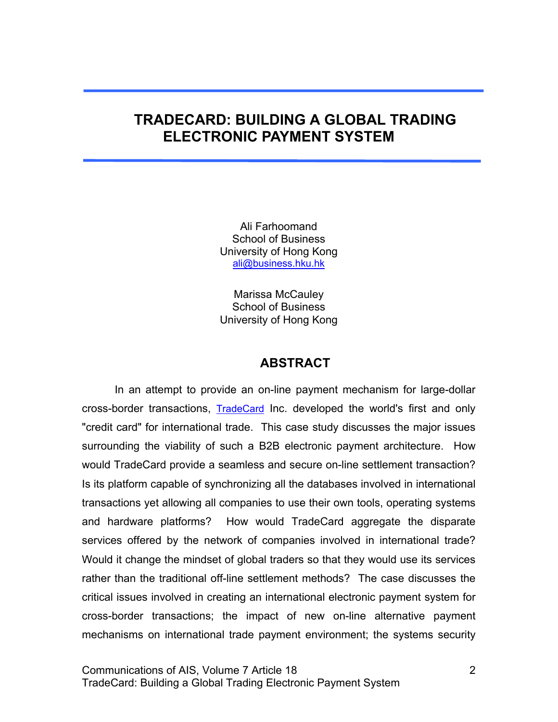# **TRADECARD: BUILDING A GLOBAL TRADING ELECTRONIC PAYMENT SYSTEM**

Ali Farhoomand School of Business University of Hong Kong ali@business.hku.hk

Marissa McCauley School of Business University of Hong Kong

#### **ABSTRACT**

In an attempt to provide an on-line payment mechanism for large-dollar cross-border transactions, TradeCard Inc. developed the world's first and only "credit card" for international trade. This case study discusses the major issues surrounding the viability of such a B2B electronic payment architecture. How would TradeCard provide a seamless and secure on-line settlement transaction? Is its platform capable of synchronizing all the databases involved in international transactions yet allowing all companies to use their own tools, operating systems and hardware platforms? How would TradeCard aggregate the disparate services offered by the network of companies involved in international trade? Would it change the mindset of global traders so that they would use its services rather than the traditional off-line settlement methods? The case discusses the critical issues involved in creating an international electronic payment system for cross-border transactions; the impact of new on-line alternative payment mechanisms on international trade payment environment; the systems security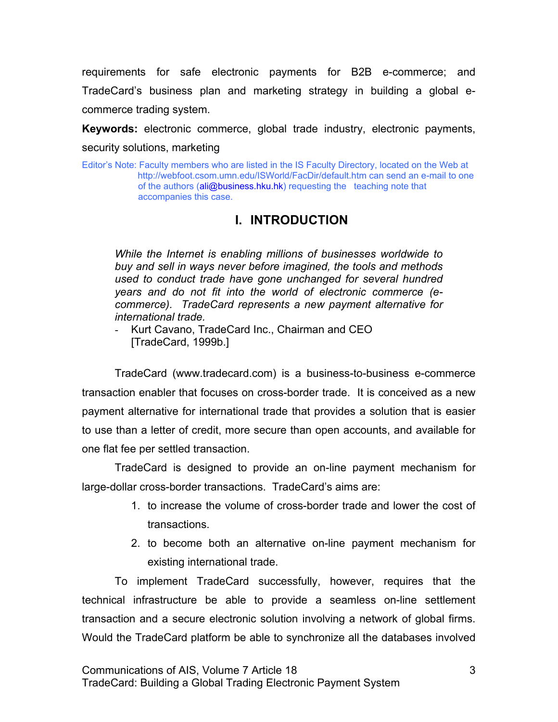requirements for safe electronic payments for B2B e-commerce; and TradeCard's business plan and marketing strategy in building a global ecommerce trading system.

**Keywords:** electronic commerce, global trade industry, electronic payments, security solutions, marketing

Editor's Note: Faculty members who are listed in the IS Faculty Directory, located on the Web at http://webfoot.csom.umn.edu/ISWorld/FacDir/default.htm can send an e-mail to one of the authors (ali@business.hku.hk) requesting the teaching note that accompanies this case.

#### **I. INTRODUCTION**

*While the Internet is enabling millions of businesses worldwide to buy and sell in ways never before imagined, the tools and methods used to conduct trade have gone unchanged for several hundred years and do not fit into the world of electronic commerce (ecommerce). TradeCard represents a new payment alternative for international trade.* 

- Kurt Cavano, TradeCard Inc., Chairman and CEO [TradeCard, 1999b.]

TradeCard (www.tradecard.com) is a business-to-business e-commerce transaction enabler that focuses on cross-border trade. It is conceived as a new payment alternative for international trade that provides a solution that is easier to use than a letter of credit, more secure than open accounts, and available for one flat fee per settled transaction.

TradeCard is designed to provide an on-line payment mechanism for large-dollar cross-border transactions. TradeCard's aims are:

- 1. to increase the volume of cross-border trade and lower the cost of transactions.
- 2. to become both an alternative on-line payment mechanism for existing international trade.

To implement TradeCard successfully, however, requires that the technical infrastructure be able to provide a seamless on-line settlement transaction and a secure electronic solution involving a network of global firms. Would the TradeCard platform be able to synchronize all the databases involved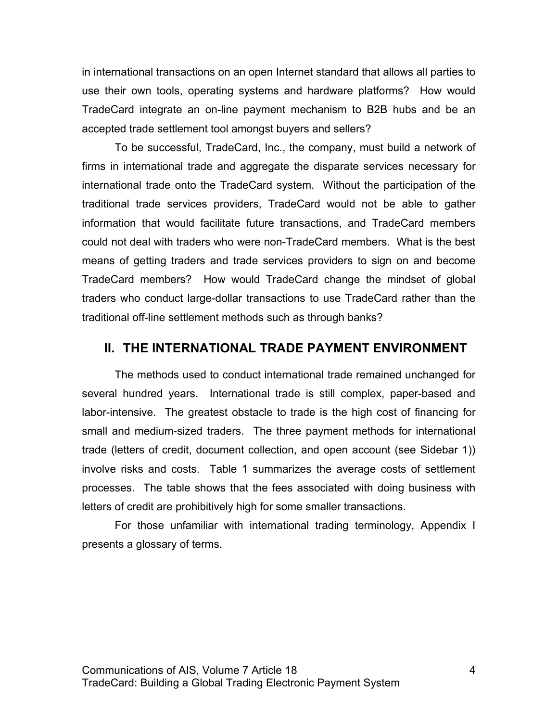in international transactions on an open Internet standard that allows all parties to use their own tools, operating systems and hardware platforms? How would TradeCard integrate an on-line payment mechanism to B2B hubs and be an accepted trade settlement tool amongst buyers and sellers?

To be successful, TradeCard, Inc., the company, must build a network of firms in international trade and aggregate the disparate services necessary for international trade onto the TradeCard system. Without the participation of the traditional trade services providers, TradeCard would not be able to gather information that would facilitate future transactions, and TradeCard members could not deal with traders who were non-TradeCard members. What is the best means of getting traders and trade services providers to sign on and become TradeCard members? How would TradeCard change the mindset of global traders who conduct large-dollar transactions to use TradeCard rather than the traditional off-line settlement methods such as through banks?

#### **II. THE INTERNATIONAL TRADE PAYMENT ENVIRONMENT**

The methods used to conduct international trade remained unchanged for several hundred years. International trade is still complex, paper-based and labor-intensive. The greatest obstacle to trade is the high cost of financing for small and medium-sized traders. The three payment methods for international trade (letters of credit, document collection, and open account (see Sidebar 1)) involve risks and costs. Table 1 summarizes the average costs of settlement processes. The table shows that the fees associated with doing business with letters of credit are prohibitively high for some smaller transactions.

For those unfamiliar with international trading terminology, Appendix I presents a glossary of terms.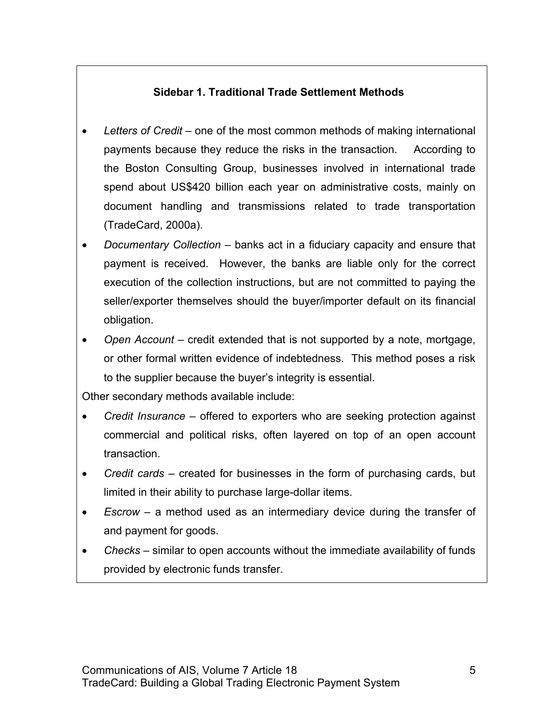#### **Sidebar 1. Traditional Trade Settlement Methods**

- Letters of Credit one of the most common methods of making international payments because they reduce the risks in the transaction. According to the Boston Consulting Group, businesses involved in international trade spend about US\$420 billion each year on administrative costs, mainly on document handling and transmissions related to trade transportation (TradeCard, 2000a).
- *Documentary Collection* banks act in a fiduciary capacity and ensure that payment is received. However, the banks are liable only for the correct execution of the collection instructions, but are not committed to paying the seller/exporter themselves should the buyer/importer default on its financial obligation.
- *Open Account* credit extended that is not supported by a note, mortgage, or other formal written evidence of indebtedness. This method poses a risk to the supplier because the buyer's integrity is essential.

Other secondary methods available include:

- *Credit Insurance* offered to exporters who are seeking protection against commercial and political risks, often layered on top of an open account transaction.
- *Credit cards* created for businesses in the form of purchasing cards, but limited in their ability to purchase large-dollar items.
- *Escrow* a method used as an intermediary device during the transfer of and payment for goods.
- *Checks* similar to open accounts without the immediate availability of funds provided by electronic funds transfer.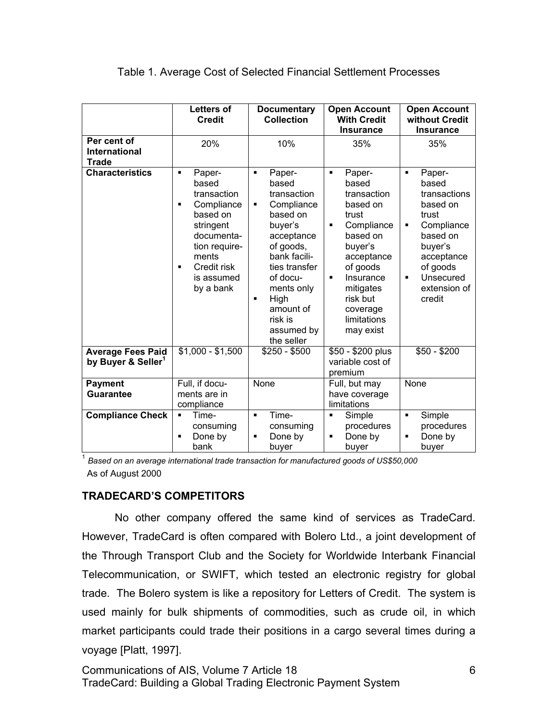|                                                            | <b>Letters of</b><br><b>Credit</b>                                                                                                                                                                            | <b>Documentary</b><br><b>Collection</b>                                                                                                                                                                                              | <b>Open Account</b><br><b>With Credit</b><br><b>Insurance</b>                                                                                                                                                                                          | <b>Open Account</b><br>without Credit<br><b>Insurance</b>                                                                                                                                                        |
|------------------------------------------------------------|---------------------------------------------------------------------------------------------------------------------------------------------------------------------------------------------------------------|--------------------------------------------------------------------------------------------------------------------------------------------------------------------------------------------------------------------------------------|--------------------------------------------------------------------------------------------------------------------------------------------------------------------------------------------------------------------------------------------------------|------------------------------------------------------------------------------------------------------------------------------------------------------------------------------------------------------------------|
| Per cent of<br><b>International</b><br><b>Trade</b>        | 20%                                                                                                                                                                                                           | 10%                                                                                                                                                                                                                                  | 35%                                                                                                                                                                                                                                                    | 35%                                                                                                                                                                                                              |
| <b>Characteristics</b>                                     | Paper-<br>$\blacksquare$<br>based<br>transaction<br>Compliance<br>$\blacksquare$<br>based on<br>stringent<br>documenta-<br>tion require-<br>ments<br>Credit risk<br>$\blacksquare$<br>is assumed<br>by a bank | Paper-<br>٠<br>based<br>transaction<br>Compliance<br>٠<br>based on<br>buyer's<br>acceptance<br>of goods,<br>bank facili-<br>ties transfer<br>of docu-<br>ments only<br>High<br>٠<br>amount of<br>risk is<br>assumed by<br>the seller | Paper-<br>$\blacksquare$<br>based<br>transaction<br>based on<br>trust<br>Compliance<br>$\blacksquare$<br>based on<br>buyer's<br>acceptance<br>of goods<br>Insurance<br>$\blacksquare$<br>mitigates<br>risk but<br>coverage<br>limitations<br>may exist | Paper-<br>$\blacksquare$<br>based<br>transactions<br>based on<br>trust<br>Compliance<br>$\blacksquare$<br>based on<br>buyer's<br>acceptance<br>of goods<br>Unsecured<br>$\blacksquare$<br>extension of<br>credit |
| <b>Average Fees Paid</b><br>by Buyer & Seller <sup>1</sup> | $$1,000 - $1,500$                                                                                                                                                                                             | $$250 - $500$                                                                                                                                                                                                                        | \$50 - \$200 plus<br>variable cost of<br>premium                                                                                                                                                                                                       | $$50 - $200$                                                                                                                                                                                                     |
| <b>Payment</b><br><b>Guarantee</b>                         | Full, if docu-<br>ments are in<br>compliance                                                                                                                                                                  | None                                                                                                                                                                                                                                 | Full, but may<br>have coverage<br>limitations                                                                                                                                                                                                          | None                                                                                                                                                                                                             |
| <b>Compliance Check</b>                                    | Time-<br>$\blacksquare$<br>consuming<br>Done by<br>Ξ<br>bank                                                                                                                                                  | Time-<br>$\blacksquare$<br>consuming<br>Done by<br>П<br>buyer                                                                                                                                                                        | Simple<br>$\blacksquare$<br>procedures<br>Done by<br>$\blacksquare$<br>buyer                                                                                                                                                                           | Simple<br>$\blacksquare$<br>procedures<br>Done by<br>п<br>buyer                                                                                                                                                  |

#### Table 1. Average Cost of Selected Financial Settlement Processes

<sup>1</sup> *Based on an average international trade transaction for manufactured goods of US\$50,000* As of August 2000

#### **TRADECARD'S COMPETITORS**

No other company offered the same kind of services as TradeCard. However, TradeCard is often compared with Bolero Ltd., a joint development of the Through Transport Club and the Society for Worldwide Interbank Financial Telecommunication, or SWIFT, which tested an electronic registry for global trade. The Bolero system is like a repository for Letters of Credit. The system is used mainly for bulk shipments of commodities, such as crude oil, in which market participants could trade their positions in a cargo several times during a voyage [Platt, 1997].

Communications of AIS, Volume 7 Article 18 6 TradeCard: Building a Global Trading Electronic Payment System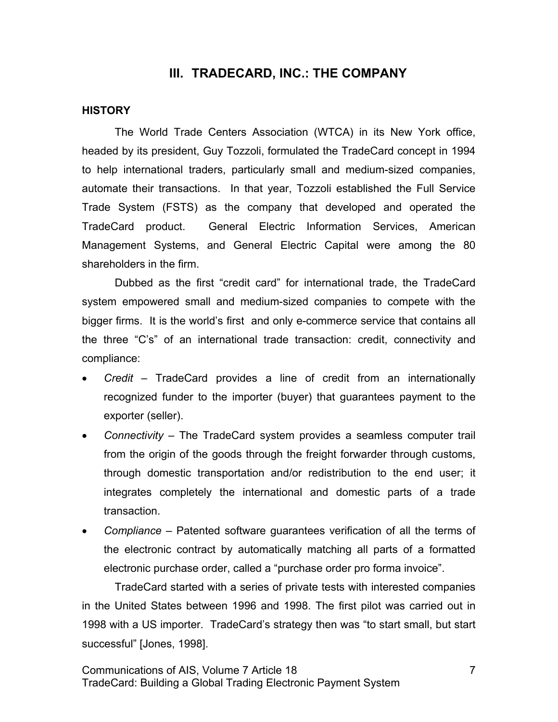#### **III. TRADECARD, INC.: THE COMPANY**

#### **HISTORY**

The World Trade Centers Association (WTCA) in its New York office, headed by its president, Guy Tozzoli, formulated the TradeCard concept in 1994 to help international traders, particularly small and medium-sized companies, automate their transactions. In that year, Tozzoli established the Full Service Trade System (FSTS) as the company that developed and operated the TradeCard product. General Electric Information Services, American Management Systems, and General Electric Capital were among the 80 shareholders in the firm.

Dubbed as the first "credit card" for international trade, the TradeCard system empowered small and medium-sized companies to compete with the bigger firms. It is the world's first and only e-commerce service that contains all the three "C's" of an international trade transaction: credit, connectivity and compliance:

- *Credit* TradeCard provides a line of credit from an internationally recognized funder to the importer (buyer) that guarantees payment to the exporter (seller).
- *Connectivity* The TradeCard system provides a seamless computer trail from the origin of the goods through the freight forwarder through customs, through domestic transportation and/or redistribution to the end user; it integrates completely the international and domestic parts of a trade transaction.
- *Compliance* Patented software guarantees verification of all the terms of the electronic contract by automatically matching all parts of a formatted electronic purchase order, called a "purchase order pro forma invoice".

TradeCard started with a series of private tests with interested companies in the United States between 1996 and 1998. The first pilot was carried out in 1998 with a US importer. TradeCard's strategy then was "to start small, but start successful" [Jones, 1998].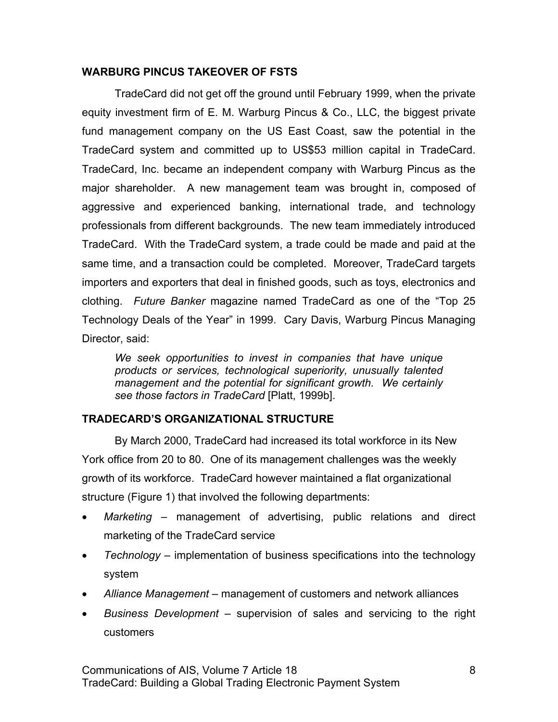#### **WARBURG PINCUS TAKEOVER OF FSTS**

TradeCard did not get off the ground until February 1999, when the private equity investment firm of E. M. Warburg Pincus & Co., LLC, the biggest private fund management company on the US East Coast, saw the potential in the TradeCard system and committed up to US\$53 million capital in TradeCard. TradeCard, Inc. became an independent company with Warburg Pincus as the major shareholder. A new management team was brought in, composed of aggressive and experienced banking, international trade, and technology professionals from different backgrounds. The new team immediately introduced TradeCard. With the TradeCard system, a trade could be made and paid at the same time, and a transaction could be completed. Moreover, TradeCard targets importers and exporters that deal in finished goods, such as toys, electronics and clothing. *Future Banker* magazine named TradeCard as one of the "Top 25 Technology Deals of the Year" in 1999. Cary Davis, Warburg Pincus Managing Director, said:

*We seek opportunities to invest in companies that have unique products or services, technological superiority, unusually talented management and the potential for significant growth. We certainly see those factors in TradeCard* [Platt, 1999b].

#### **TRADECARD'S ORGANIZATIONAL STRUCTURE**

By March 2000, TradeCard had increased its total workforce in its New York office from 20 to 80. One of its management challenges was the weekly growth of its workforce. TradeCard however maintained a flat organizational structure (Figure 1) that involved the following departments:

- *Marketing*  management of advertising, public relations and direct marketing of the TradeCard service
- *Technology* implementation of business specifications into the technology system
- *Alliance Management* management of customers and network alliances
- *Business Development* supervision of sales and servicing to the right customers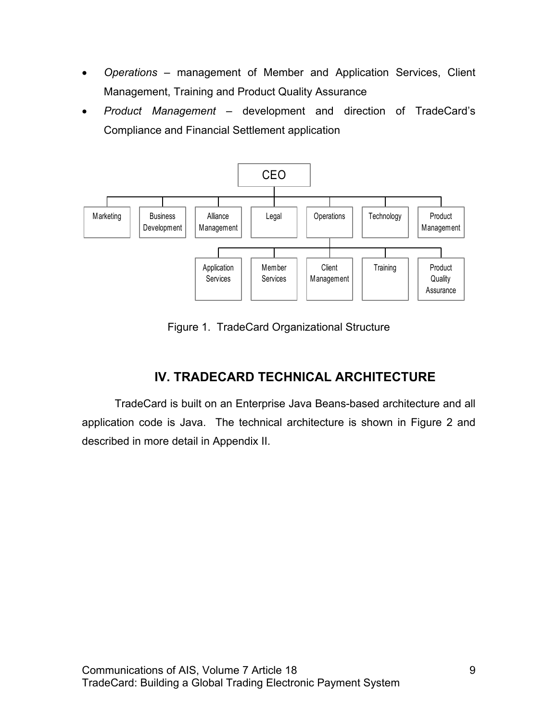- *Operations* management of Member and Application Services, Client Management, Training and Product Quality Assurance
- *Product Management* development and direction of TradeCard's Compliance and Financial Settlement application



Figure 1. TradeCard Organizational Structure

# **IV. TRADECARD TECHNICAL ARCHITECTURE**

TradeCard is built on an Enterprise Java Beans-based architecture and all application code is Java. The technical architecture is shown in Figure 2 and described in more detail in Appendix II.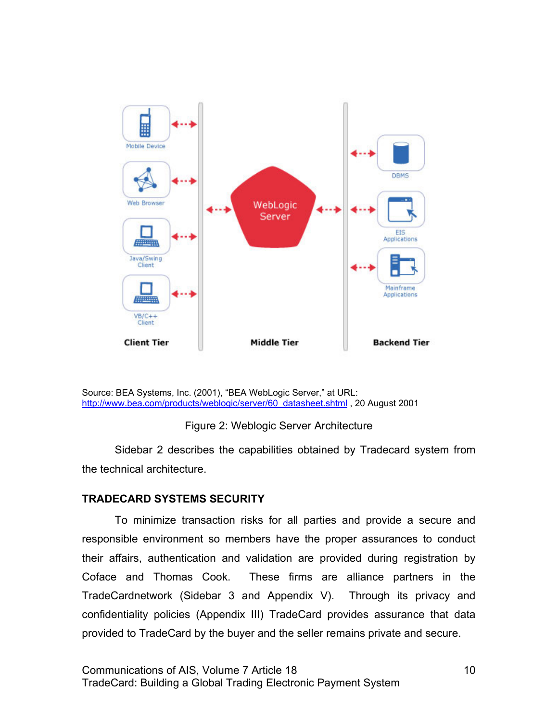

Source: BEA Systems, Inc. (2001), "BEA WebLogic Server," at URL: http://www.bea.com/products/weblogic/server/60\_datasheet.shtml , 20 August 2001

Figure 2: Weblogic Server Architecture

Sidebar 2 describes the capabilities obtained by Tradecard system from the technical architecture.

#### **TRADECARD SYSTEMS SECURITY**

To minimize transaction risks for all parties and provide a secure and responsible environment so members have the proper assurances to conduct their affairs, authentication and validation are provided during registration by Coface and Thomas Cook. These firms are alliance partners in the TradeCardnetwork (Sidebar 3 and Appendix V). Through its privacy and confidentiality policies (Appendix III) TradeCard provides assurance that data provided to TradeCard by the buyer and the seller remains private and secure.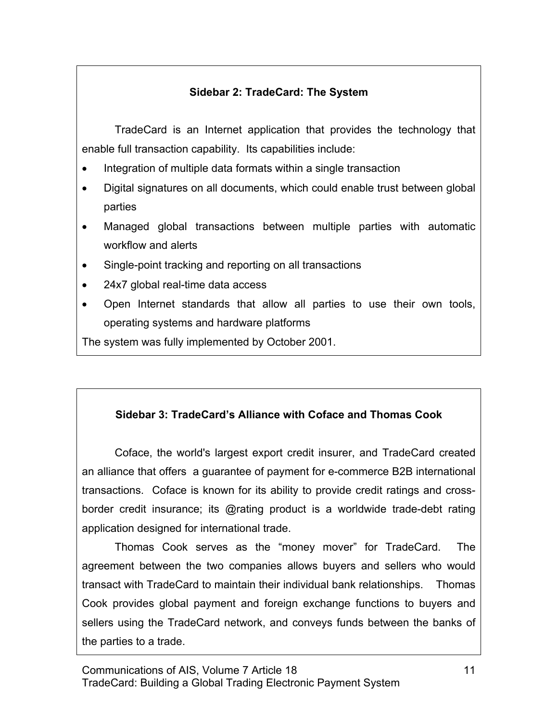#### **Sidebar 2: TradeCard: The System**

TradeCard is an Internet application that provides the technology that enable full transaction capability. Its capabilities include:

- Integration of multiple data formats within a single transaction
- Digital signatures on all documents, which could enable trust between global parties
- Managed global transactions between multiple parties with automatic workflow and alerts
- Single-point tracking and reporting on all transactions
- 24x7 global real-time data access
- Open Internet standards that allow all parties to use their own tools, operating systems and hardware platforms

The system was fully implemented by October 2001.

#### **Sidebar 3: TradeCard's Alliance with Coface and Thomas Cook**

Coface, the world's largest export credit insurer, and TradeCard created an alliance that offers a guarantee of payment for e-commerce B2B international transactions. Coface is known for its ability to provide credit ratings and crossborder credit insurance; its @rating product is a worldwide trade-debt rating application designed for international trade.

Thomas Cook serves as the "money mover" for TradeCard. The agreement between the two companies allows buyers and sellers who would transact with TradeCard to maintain their individual bank relationships. Thomas Cook provides global payment and foreign exchange functions to buyers and sellers using the TradeCard network, and conveys funds between the banks of the parties to a trade.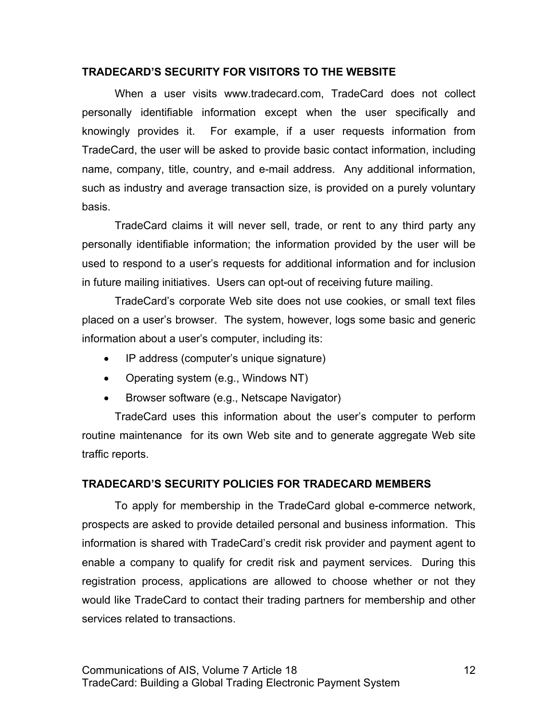#### **TRADECARD'S SECURITY FOR VISITORS TO THE WEBSITE**

When a user visits www.tradecard.com, TradeCard does not collect personally identifiable information except when the user specifically and knowingly provides it. For example, if a user requests information from TradeCard, the user will be asked to provide basic contact information, including name, company, title, country, and e-mail address. Any additional information, such as industry and average transaction size, is provided on a purely voluntary basis.

TradeCard claims it will never sell, trade, or rent to any third party any personally identifiable information; the information provided by the user will be used to respond to a user's requests for additional information and for inclusion in future mailing initiatives. Users can opt-out of receiving future mailing.

TradeCard's corporate Web site does not use cookies, or small text files placed on a user's browser. The system, however, logs some basic and generic information about a user's computer, including its:

- IP address (computer's unique signature)
- Operating system (e.g., Windows NT)
- Browser software (e.g., Netscape Navigator)

TradeCard uses this information about the user's computer to perform routine maintenance for its own Web site and to generate aggregate Web site traffic reports.

#### **TRADECARD'S SECURITY POLICIES FOR TRADECARD MEMBERS**

To apply for membership in the TradeCard global e-commerce network, prospects are asked to provide detailed personal and business information. This information is shared with TradeCard's credit risk provider and payment agent to enable a company to qualify for credit risk and payment services. During this registration process, applications are allowed to choose whether or not they would like TradeCard to contact their trading partners for membership and other services related to transactions.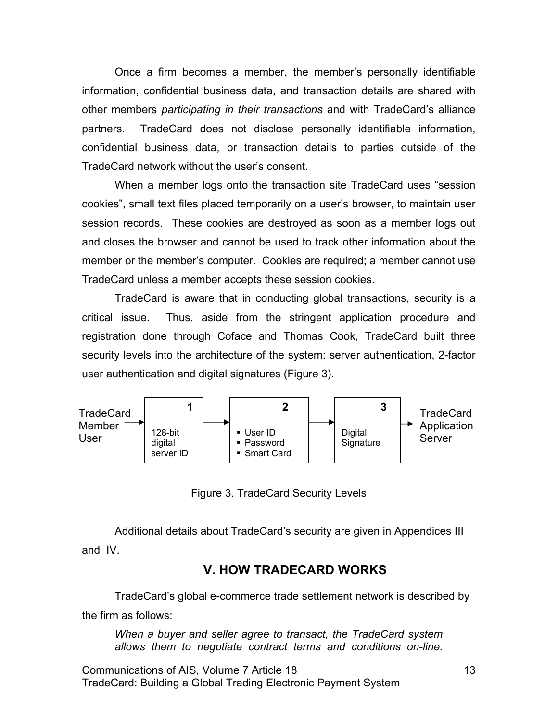Once a firm becomes a member, the member's personally identifiable information, confidential business data, and transaction details are shared with other members *participating in their transactions* and with TradeCard's alliance partners. TradeCard does not disclose personally identifiable information, confidential business data, or transaction details to parties outside of the TradeCard network without the user's consent.

When a member logs onto the transaction site TradeCard uses "session cookies", small text files placed temporarily on a user's browser, to maintain user session records. These cookies are destroyed as soon as a member logs out and closes the browser and cannot be used to track other information about the member or the member's computer. Cookies are required; a member cannot use TradeCard unless a member accepts these session cookies.

TradeCard is aware that in conducting global transactions, security is a critical issue. Thus, aside from the stringent application procedure and registration done through Coface and Thomas Cook, TradeCard built three security levels into the architecture of the system: server authentication, 2-factor user authentication and digital signatures (Figure 3).



Figure 3. TradeCard Security Levels

Additional details about TradeCard's security are given in Appendices III and IV.

#### **V. HOW TRADECARD WORKS**

TradeCard's global e-commerce trade settlement network is described by the firm as follows:

*When a buyer and seller agree to transact, the TradeCard system allows them to negotiate contract terms and conditions on-line.* 

Communications of AIS, Volume 7 Article 18 13 TradeCard: Building a Global Trading Electronic Payment System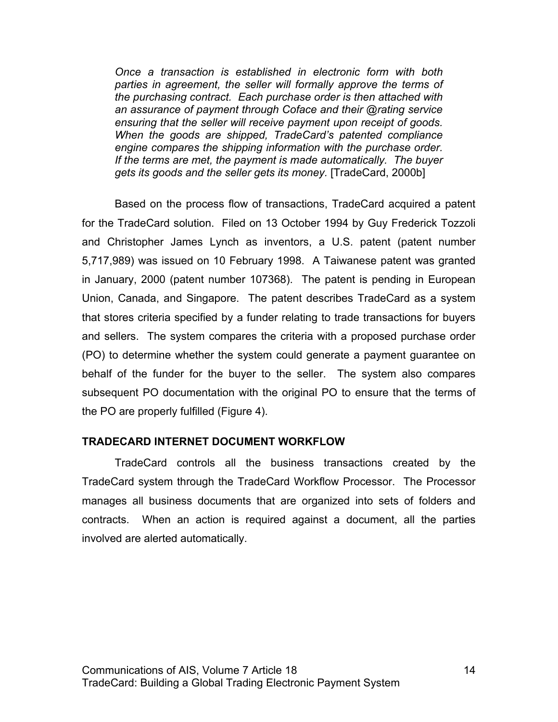*Once a transaction is established in electronic form with both parties in agreement, the seller will formally approve the terms of the purchasing contract. Each purchase order is then attached with an assurance of payment through Coface and their @rating service ensuring that the seller will receive payment upon receipt of goods. When the goods are shipped, TradeCard's patented compliance engine compares the shipping information with the purchase order. If the terms are met, the payment is made automatically. The buyer gets its goods and the seller gets its money.* [TradeCard, 2000b]

Based on the process flow of transactions, TradeCard acquired a patent for the TradeCard solution. Filed on 13 October 1994 by Guy Frederick Tozzoli and Christopher James Lynch as inventors, a U.S. patent (patent number 5,717,989) was issued on 10 February 1998. A Taiwanese patent was granted in January, 2000 (patent number 107368). The patent is pending in European Union, Canada, and Singapore. The patent describes TradeCard as a system that stores criteria specified by a funder relating to trade transactions for buyers and sellers. The system compares the criteria with a proposed purchase order (PO) to determine whether the system could generate a payment guarantee on behalf of the funder for the buyer to the seller. The system also compares subsequent PO documentation with the original PO to ensure that the terms of the PO are properly fulfilled (Figure 4).

#### **TRADECARD INTERNET DOCUMENT WORKFLOW**

TradeCard controls all the business transactions created by the TradeCard system through the TradeCard Workflow Processor. The Processor manages all business documents that are organized into sets of folders and contracts. When an action is required against a document, all the parties involved are alerted automatically.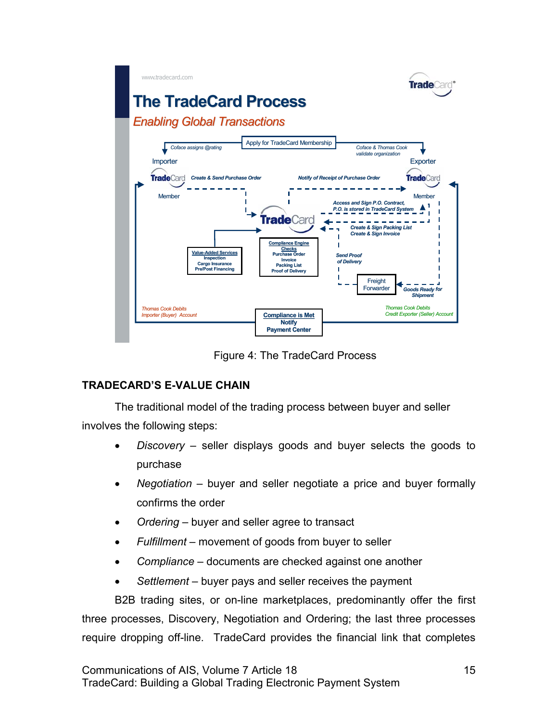

Figure 4: The TradeCard Process

#### **TRADECARD'S E-VALUE CHAIN**

The traditional model of the trading process between buyer and seller involves the following steps:

- *Discovery*  seller displays goods and buyer selects the goods to purchase
- *Negotiation* buyer and seller negotiate a price and buyer formally confirms the order
- *Ordering*  buyer and seller agree to transact
- *Fulfillment*  movement of goods from buyer to seller
- *Compliance*  documents are checked against one another
- Settlement buyer pays and seller receives the payment

B2B trading sites, or on-line marketplaces, predominantly offer the first three processes, Discovery, Negotiation and Ordering; the last three processes require dropping off-line. TradeCard provides the financial link that completes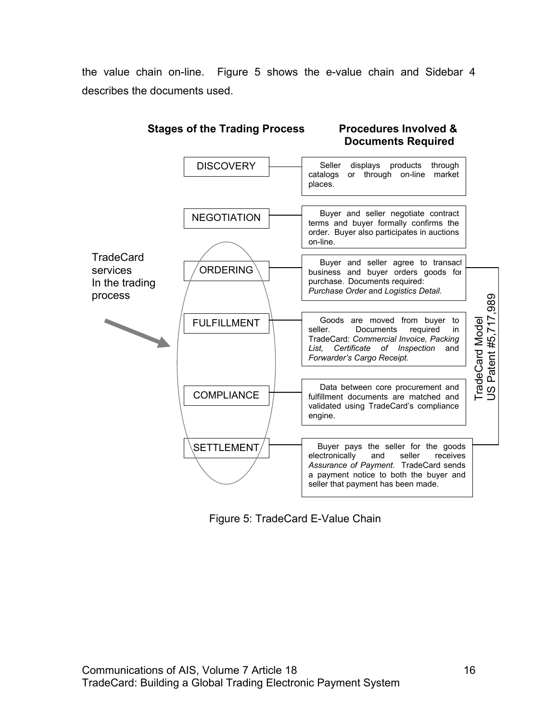the value chain on-line. Figure 5 shows the e-value chain and Sidebar 4 describes the documents used.



Figure 5: TradeCard E-Value Chain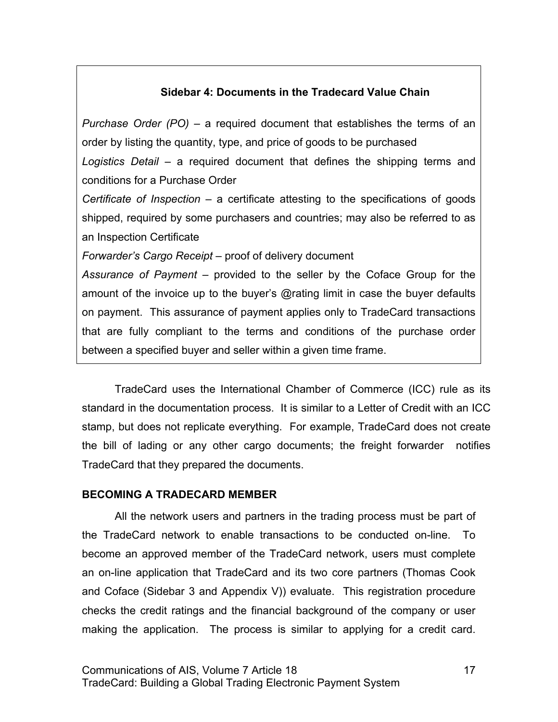#### **Sidebar 4: Documents in the Tradecard Value Chain**

*Purchase Order (PO) – a required document that establishes the terms of an* order by listing the quantity, type, and price of goods to be purchased

*Logistics Detail* – a required document that defines the shipping terms and conditions for a Purchase Order

*Certificate of Inspection* – a certificate attesting to the specifications of goods shipped, required by some purchasers and countries; may also be referred to as an Inspection Certificate

*Forwarder's Cargo Receipt* – proof of delivery document

*Assurance of Payment –* provided to the seller by the Coface Group for the amount of the invoice up to the buyer's @rating limit in case the buyer defaults on payment. This assurance of payment applies only to TradeCard transactions that are fully compliant to the terms and conditions of the purchase order between a specified buyer and seller within a given time frame.

TradeCard uses the International Chamber of Commerce (ICC) rule as its standard in the documentation process. It is similar to a Letter of Credit with an ICC stamp, but does not replicate everything. For example, TradeCard does not create the bill of lading or any other cargo documents; the freight forwarder notifies TradeCard that they prepared the documents.

#### **BECOMING A TRADECARD MEMBER**

All the network users and partners in the trading process must be part of the TradeCard network to enable transactions to be conducted on-line. To become an approved member of the TradeCard network, users must complete an on-line application that TradeCard and its two core partners (Thomas Cook and Coface (Sidebar 3 and Appendix V)) evaluate. This registration procedure checks the credit ratings and the financial background of the company or user making the application. The process is similar to applying for a credit card.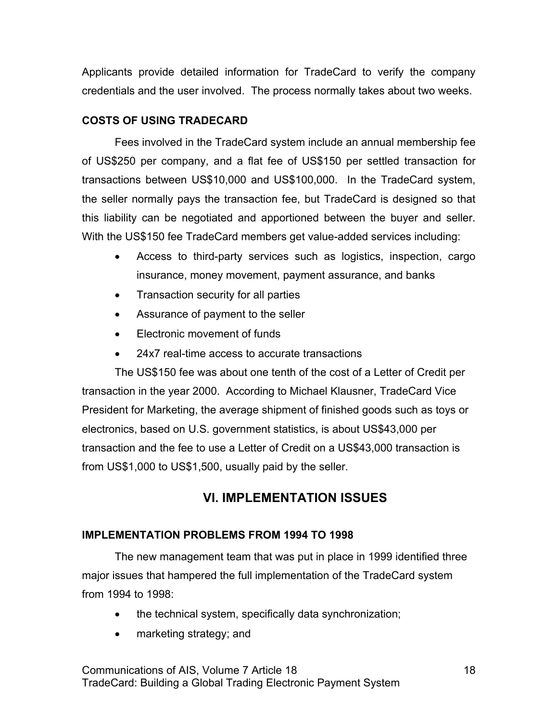Applicants provide detailed information for TradeCard to verify the company credentials and the user involved. The process normally takes about two weeks.

#### **COSTS OF USING TRADECARD**

Fees involved in the TradeCard system include an annual membership fee of US\$250 per company, and a flat fee of US\$150 per settled transaction for transactions between US\$10,000 and US\$100,000. In the TradeCard system, the seller normally pays the transaction fee, but TradeCard is designed so that this liability can be negotiated and apportioned between the buyer and seller. With the US\$150 fee TradeCard members get value-added services including:

- Access to third-party services such as logistics, inspection, cargo insurance, money movement, payment assurance, and banks
- Transaction security for all parties
- Assurance of payment to the seller
- Electronic movement of funds
- 24x7 real-time access to accurate transactions

The US\$150 fee was about one tenth of the cost of a Letter of Credit per transaction in the year 2000. According to Michael Klausner, TradeCard Vice President for Marketing, the average shipment of finished goods such as toys or electronics, based on U.S. government statistics, is about US\$43,000 per transaction and the fee to use a Letter of Credit on a US\$43,000 transaction is from US\$1,000 to US\$1,500, usually paid by the seller.

### **VI. IMPLEMENTATION ISSUES**

#### **IMPLEMENTATION PROBLEMS FROM 1994 TO 1998**

The new management team that was put in place in 1999 identified three major issues that hampered the full implementation of the TradeCard system from 1994 to 1998:

- the technical system, specifically data synchronization;
- marketing strategy; and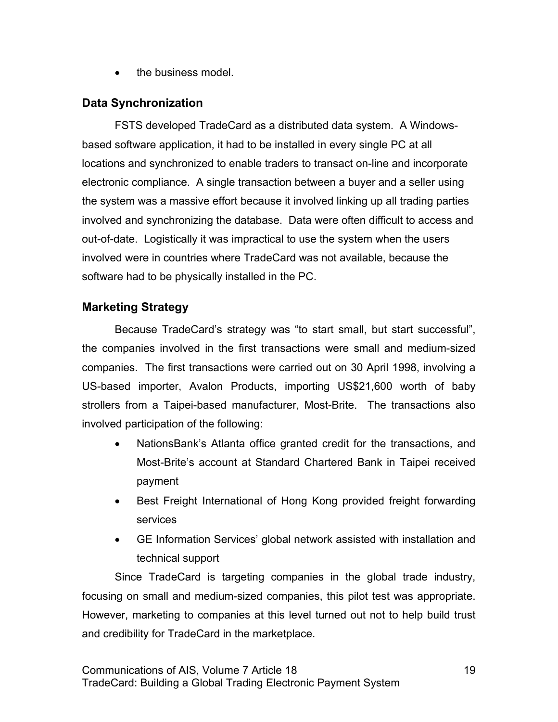• the business model.

#### **Data Synchronization**

FSTS developed TradeCard as a distributed data system. A Windowsbased software application, it had to be installed in every single PC at all locations and synchronized to enable traders to transact on-line and incorporate electronic compliance. A single transaction between a buyer and a seller using the system was a massive effort because it involved linking up all trading parties involved and synchronizing the database. Data were often difficult to access and out-of-date. Logistically it was impractical to use the system when the users involved were in countries where TradeCard was not available, because the software had to be physically installed in the PC.

#### **Marketing Strategy**

Because TradeCard's strategy was "to start small, but start successful", the companies involved in the first transactions were small and medium-sized companies. The first transactions were carried out on 30 April 1998, involving a US-based importer, Avalon Products, importing US\$21,600 worth of baby strollers from a Taipei-based manufacturer, Most-Brite. The transactions also involved participation of the following:

- NationsBank's Atlanta office granted credit for the transactions, and Most-Brite's account at Standard Chartered Bank in Taipei received payment
- Best Freight International of Hong Kong provided freight forwarding services
- GE Information Services' global network assisted with installation and technical support

Since TradeCard is targeting companies in the global trade industry, focusing on small and medium-sized companies, this pilot test was appropriate. However, marketing to companies at this level turned out not to help build trust and credibility for TradeCard in the marketplace.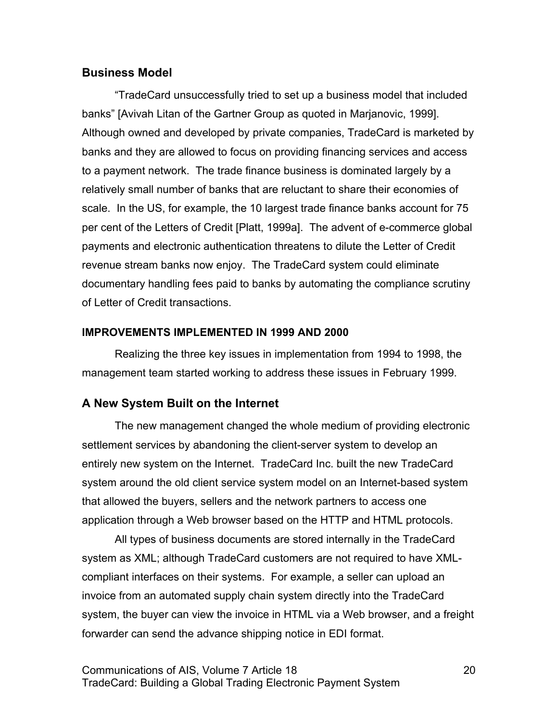#### **Business Model**

"TradeCard unsuccessfully tried to set up a business model that included banks" [Avivah Litan of the Gartner Group as quoted in Marjanovic, 1999]. Although owned and developed by private companies, TradeCard is marketed by banks and they are allowed to focus on providing financing services and access to a payment network. The trade finance business is dominated largely by a relatively small number of banks that are reluctant to share their economies of scale. In the US, for example, the 10 largest trade finance banks account for 75 per cent of the Letters of Credit [Platt, 1999a]. The advent of e-commerce global payments and electronic authentication threatens to dilute the Letter of Credit revenue stream banks now enjoy. The TradeCard system could eliminate documentary handling fees paid to banks by automating the compliance scrutiny of Letter of Credit transactions.

#### **IMPROVEMENTS IMPLEMENTED IN 1999 AND 2000**

Realizing the three key issues in implementation from 1994 to 1998, the management team started working to address these issues in February 1999.

#### **A New System Built on the Internet**

The new management changed the whole medium of providing electronic settlement services by abandoning the client-server system to develop an entirely new system on the Internet. TradeCard Inc. built the new TradeCard system around the old client service system model on an Internet-based system that allowed the buyers, sellers and the network partners to access one application through a Web browser based on the HTTP and HTML protocols.

All types of business documents are stored internally in the TradeCard system as XML; although TradeCard customers are not required to have XMLcompliant interfaces on their systems. For example, a seller can upload an invoice from an automated supply chain system directly into the TradeCard system, the buyer can view the invoice in HTML via a Web browser, and a freight forwarder can send the advance shipping notice in EDI format.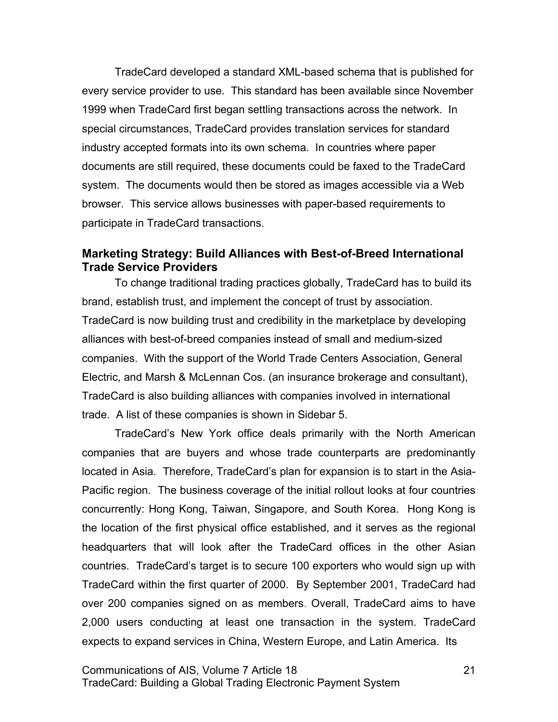TradeCard developed a standard XML-based schema that is published for every service provider to use. This standard has been available since November 1999 when TradeCard first began settling transactions across the network. In special circumstances, TradeCard provides translation services for standard industry accepted formats into its own schema. In countries where paper documents are still required, these documents could be faxed to the TradeCard system. The documents would then be stored as images accessible via a Web browser. This service allows businesses with paper-based requirements to participate in TradeCard transactions.

#### **Marketing Strategy: Build Alliances with Best-of-Breed International Trade Service Providers**

To change traditional trading practices globally, TradeCard has to build its brand, establish trust, and implement the concept of trust by association. TradeCard is now building trust and credibility in the marketplace by developing alliances with best-of-breed companies instead of small and medium-sized companies. With the support of the World Trade Centers Association, General Electric, and Marsh & McLennan Cos. (an insurance brokerage and consultant), TradeCard is also building alliances with companies involved in international trade. A list of these companies is shown in Sidebar 5.

TradeCard's New York office deals primarily with the North American companies that are buyers and whose trade counterparts are predominantly located in Asia. Therefore, TradeCard's plan for expansion is to start in the Asia-Pacific region. The business coverage of the initial rollout looks at four countries concurrently: Hong Kong, Taiwan, Singapore, and South Korea. Hong Kong is the location of the first physical office established, and it serves as the regional headquarters that will look after the TradeCard offices in the other Asian countries. TradeCard's target is to secure 100 exporters who would sign up with TradeCard within the first quarter of 2000. By September 2001, TradeCard had over 200 companies signed on as members. Overall, TradeCard aims to have 2,000 users conducting at least one transaction in the system. TradeCard expects to expand services in China, Western Europe, and Latin America. Its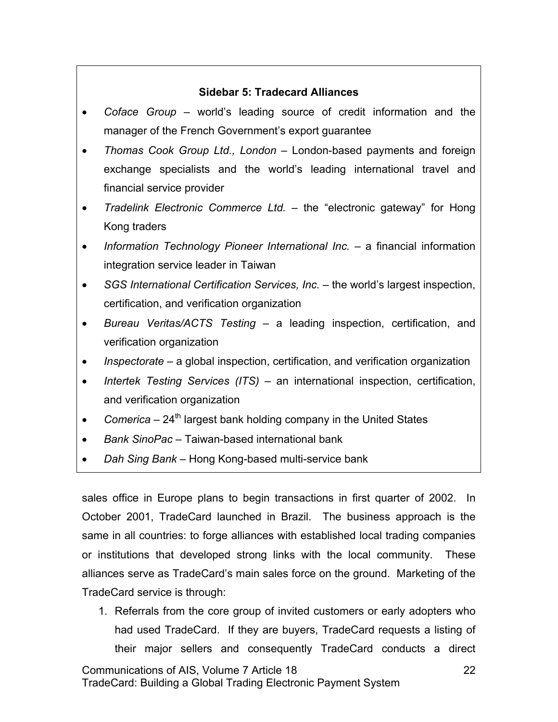#### **Sidebar 5: Tradecard Alliances**

- *Coface Group* world's leading source of credit information and the manager of the French Government's export guarantee
- *Thomas Cook Group Ltd., London* London-based payments and foreign exchange specialists and the world's leading international travel and financial service provider
- *Tradelink Electronic Commerce Ltd.* the "electronic gateway" for Hong Kong traders
- *Information Technology Pioneer International Inc.* a financial information integration service leader in Taiwan
- *SGS International Certification Services, Inc.* the world's largest inspection, certification, and verification organization
- *Bureau Veritas/ACTS Testing* a leading inspection, certification, and verification organization
- *Inspectorate* a global inspection, certification, and verification organization
- *Intertek Testing Services (ITS)* an international inspection, certification, and verification organization
- *Comerica* 24<sup>th</sup> largest bank holding company in the United States
- *Bank SinoPac* Taiwan-based international bank
- *Dah Sing Bank* Hong Kong-based multi-service bank

sales office in Europe plans to begin transactions in first quarter of 2002. In October 2001, TradeCard launched in Brazil. The business approach is the same in all countries: to forge alliances with established local trading companies or institutions that developed strong links with the local community. These alliances serve as TradeCard's main sales force on the ground. Marketing of the TradeCard service is through:

1. Referrals from the core group of invited customers or early adopters who had used TradeCard. If they are buyers, TradeCard requests a listing of their major sellers and consequently TradeCard conducts a direct

Communications of AIS, Volume 7 Article 18 22 TradeCard: Building a Global Trading Electronic Payment System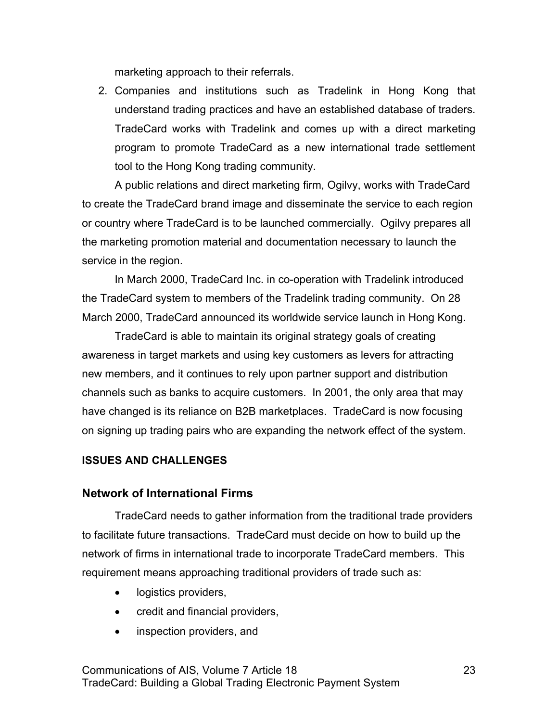marketing approach to their referrals.

2. Companies and institutions such as Tradelink in Hong Kong that understand trading practices and have an established database of traders. TradeCard works with Tradelink and comes up with a direct marketing program to promote TradeCard as a new international trade settlement tool to the Hong Kong trading community.

A public relations and direct marketing firm, Ogilvy, works with TradeCard to create the TradeCard brand image and disseminate the service to each region or country where TradeCard is to be launched commercially. Ogilvy prepares all the marketing promotion material and documentation necessary to launch the service in the region.

In March 2000, TradeCard Inc. in co-operation with Tradelink introduced the TradeCard system to members of the Tradelink trading community. On 28 March 2000, TradeCard announced its worldwide service launch in Hong Kong.

TradeCard is able to maintain its original strategy goals of creating awareness in target markets and using key customers as levers for attracting new members, and it continues to rely upon partner support and distribution channels such as banks to acquire customers. In 2001, the only area that may have changed is its reliance on B2B marketplaces. TradeCard is now focusing on signing up trading pairs who are expanding the network effect of the system.

#### **ISSUES AND CHALLENGES**

#### **Network of International Firms**

TradeCard needs to gather information from the traditional trade providers to facilitate future transactions. TradeCard must decide on how to build up the network of firms in international trade to incorporate TradeCard members. This requirement means approaching traditional providers of trade such as:

- logistics providers,
- credit and financial providers,
- inspection providers, and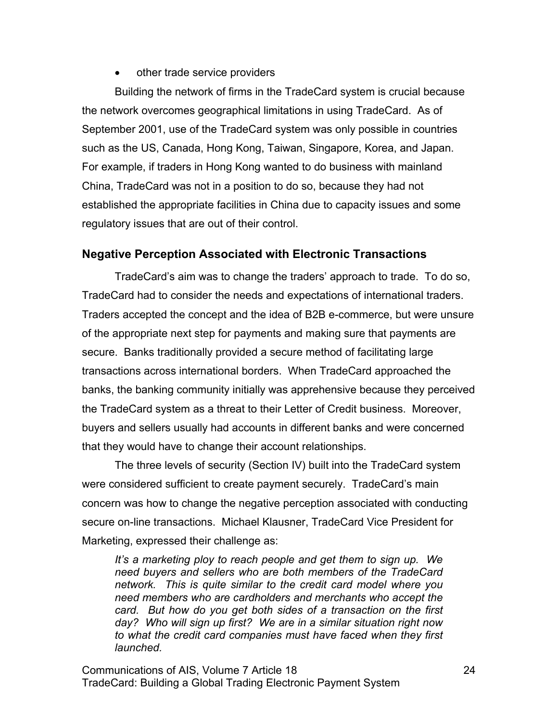#### • other trade service providers

Building the network of firms in the TradeCard system is crucial because the network overcomes geographical limitations in using TradeCard. As of September 2001, use of the TradeCard system was only possible in countries such as the US, Canada, Hong Kong, Taiwan, Singapore, Korea, and Japan. For example, if traders in Hong Kong wanted to do business with mainland China, TradeCard was not in a position to do so, because they had not established the appropriate facilities in China due to capacity issues and some regulatory issues that are out of their control.

#### **Negative Perception Associated with Electronic Transactions**

TradeCard's aim was to change the traders' approach to trade. To do so, TradeCard had to consider the needs and expectations of international traders. Traders accepted the concept and the idea of B2B e-commerce, but were unsure of the appropriate next step for payments and making sure that payments are secure. Banks traditionally provided a secure method of facilitating large transactions across international borders. When TradeCard approached the banks, the banking community initially was apprehensive because they perceived the TradeCard system as a threat to their Letter of Credit business. Moreover, buyers and sellers usually had accounts in different banks and were concerned that they would have to change their account relationships.

The three levels of security (Section IV) built into the TradeCard system were considered sufficient to create payment securely. TradeCard's main concern was how to change the negative perception associated with conducting secure on-line transactions. Michael Klausner, TradeCard Vice President for Marketing, expressed their challenge as:

*It's a marketing ploy to reach people and get them to sign up. We need buyers and sellers who are both members of the TradeCard network. This is quite similar to the credit card model where you need members who are cardholders and merchants who accept the card. But how do you get both sides of a transaction on the first day? Who will sign up first? We are in a similar situation right now to what the credit card companies must have faced when they first launched.*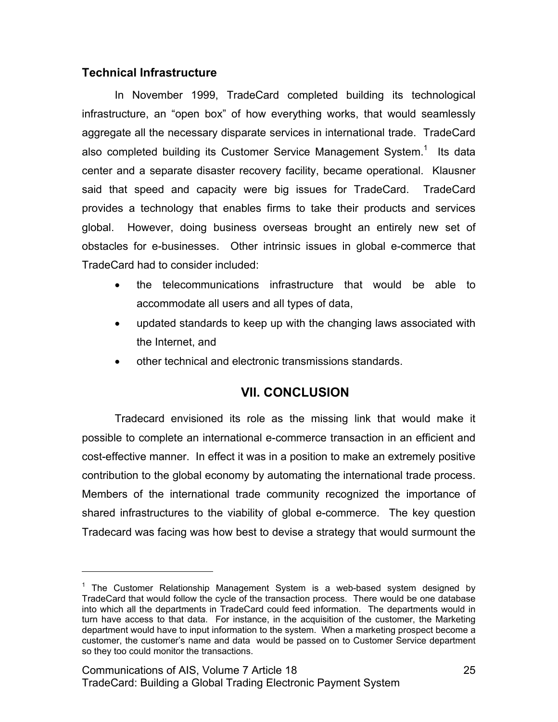#### **Technical Infrastructure**

 $\overline{a}$ 

In November 1999, TradeCard completed building its technological infrastructure, an "open box" of how everything works, that would seamlessly aggregate all the necessary disparate services in international trade. TradeCard also completed building its Customer Service Management System.<sup>1</sup> Its data center and a separate disaster recovery facility, became operational. Klausner said that speed and capacity were big issues for TradeCard. TradeCard provides a technology that enables firms to take their products and services global. However, doing business overseas brought an entirely new set of obstacles for e-businesses. Other intrinsic issues in global e-commerce that TradeCard had to consider included:

- the telecommunications infrastructure that would be able to accommodate all users and all types of data,
- updated standards to keep up with the changing laws associated with the Internet, and
- other technical and electronic transmissions standards.

### **VII. CONCLUSION**

Tradecard envisioned its role as the missing link that would make it possible to complete an international e-commerce transaction in an efficient and cost-effective manner. In effect it was in a position to make an extremely positive contribution to the global economy by automating the international trade process. Members of the international trade community recognized the importance of shared infrastructures to the viability of global e-commerce. The key question Tradecard was facing was how best to devise a strategy that would surmount the

<sup>&</sup>lt;sup>1</sup> The Customer Relationship Management System is a web-based system designed by TradeCard that would follow the cycle of the transaction process. There would be one database into which all the departments in TradeCard could feed information. The departments would in turn have access to that data. For instance, in the acquisition of the customer, the Marketing department would have to input information to the system. When a marketing prospect become a customer, the customer's name and data would be passed on to Customer Service department so they too could monitor the transactions.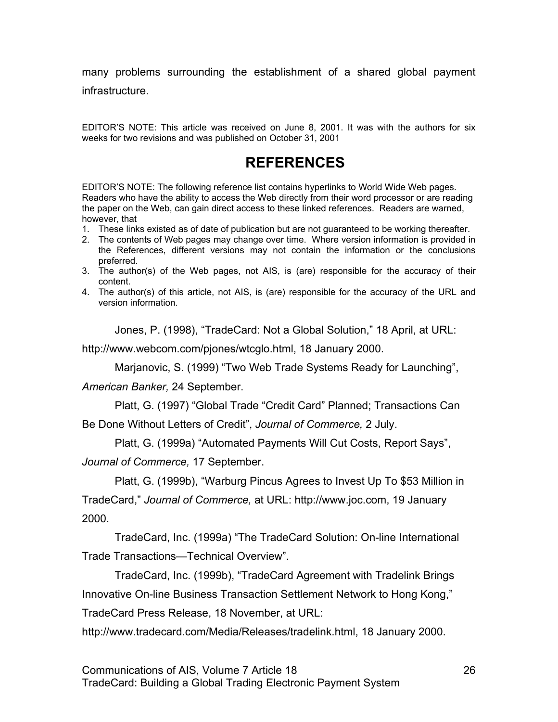many problems surrounding the establishment of a shared global payment infrastructure.

EDITOR'S NOTE: This article was received on June 8, 2001. It was with the authors for six weeks for two revisions and was published on October 31, 2001

# **REFERENCES**

EDITOR'S NOTE: The following reference list contains hyperlinks to World Wide Web pages. Readers who have the ability to access the Web directly from their word processor or are reading the paper on the Web, can gain direct access to these linked references. Readers are warned, however, that

- 1. These links existed as of date of publication but are not guaranteed to be working thereafter.
- 2. The contents of Web pages may change over time. Where version information is provided in the References, different versions may not contain the information or the conclusions preferred.
- 3. The author(s) of the Web pages, not AIS, is (are) responsible for the accuracy of their content.
- 4. The author(s) of this article, not AIS, is (are) responsible for the accuracy of the URL and version information.

Jones, P. (1998), "TradeCard: Not a Global Solution," 18 April, at URL:

http://www.webcom.com/pjones/wtcglo.html, 18 January 2000.

Marjanovic, S. (1999) "Two Web Trade Systems Ready for Launching",

*American Banker,* 24 September.

Platt, G. (1997) "Global Trade "Credit Card" Planned; Transactions Can Be Done Without Letters of Credit", *Journal of Commerce,* 2 July.

Platt, G. (1999a) "Automated Payments Will Cut Costs, Report Says", *Journal of Commerce,* 17 September.

Platt, G. (1999b), "Warburg Pincus Agrees to Invest Up To \$53 Million in TradeCard," *Journal of Commerce,* at URL: http://www.joc.com, 19 January 2000.

TradeCard, Inc. (1999a) "The TradeCard Solution: On-line International Trade Transactions—Technical Overview".

TradeCard, Inc. (1999b), "TradeCard Agreement with Tradelink Brings Innovative On-line Business Transaction Settlement Network to Hong Kong," TradeCard Press Release, 18 November, at URL:

http://www.tradecard.com/Media/Releases/tradelink.html, 18 January 2000.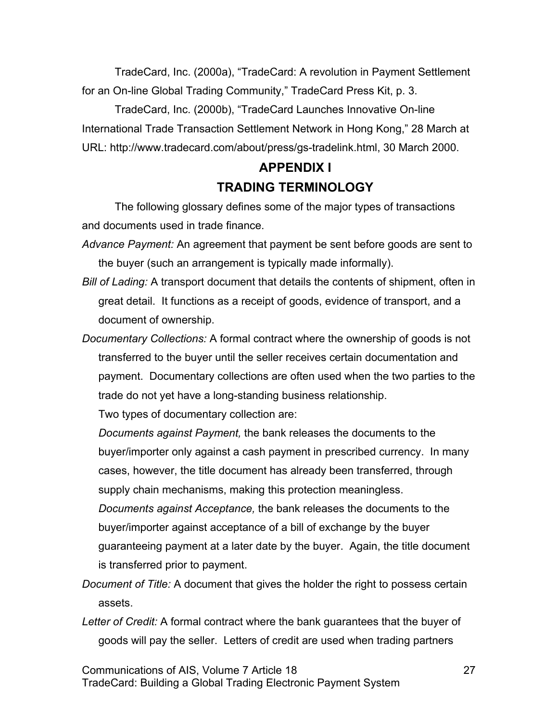TradeCard, Inc. (2000a), "TradeCard: A revolution in Payment Settlement for an On-line Global Trading Community," TradeCard Press Kit, p. 3.

TradeCard, Inc. (2000b), "TradeCard Launches Innovative On-line International Trade Transaction Settlement Network in Hong Kong," 28 March at URL: http://www.tradecard.com/about/press/gs-tradelink.html, 30 March 2000.

# **APPENDIX I**

## **TRADING TERMINOLOGY**

The following glossary defines some of the major types of transactions and documents used in trade finance.

- *Advance Payment:* An agreement that payment be sent before goods are sent to the buyer (such an arrangement is typically made informally).
- *Bill of Lading:* A transport document that details the contents of shipment, often in great detail. It functions as a receipt of goods, evidence of transport, and a document of ownership.
- *Documentary Collections:* A formal contract where the ownership of goods is not transferred to the buyer until the seller receives certain documentation and payment. Documentary collections are often used when the two parties to the trade do not yet have a long-standing business relationship.

Two types of documentary collection are:

*Documents against Payment,* the bank releases the documents to the buyer/importer only against a cash payment in prescribed currency. In many cases, however, the title document has already been transferred, through supply chain mechanisms, making this protection meaningless.

*Documents against Acceptance,* the bank releases the documents to the buyer/importer against acceptance of a bill of exchange by the buyer guaranteeing payment at a later date by the buyer. Again, the title document is transferred prior to payment.

- *Document of Title:* A document that gives the holder the right to possess certain assets.
- *Letter of Credit:* A formal contract where the bank guarantees that the buyer of goods will pay the seller. Letters of credit are used when trading partners

Communications of AIS, Volume 7 Article 18 27 TradeCard: Building a Global Trading Electronic Payment System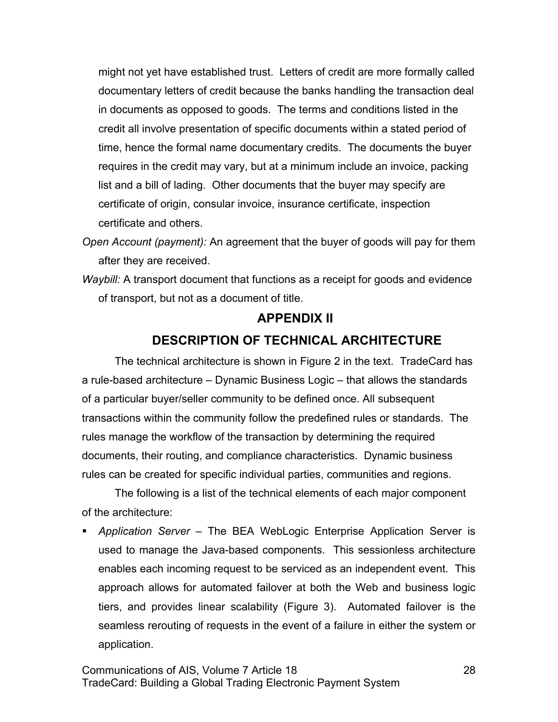might not yet have established trust. Letters of credit are more formally called documentary letters of credit because the banks handling the transaction deal in documents as opposed to goods. The terms and conditions listed in the credit all involve presentation of specific documents within a stated period of time, hence the formal name documentary credits. The documents the buyer requires in the credit may vary, but at a minimum include an invoice, packing list and a bill of lading. Other documents that the buyer may specify are certificate of origin, consular invoice, insurance certificate, inspection certificate and others.

- *Open Account (payment):* An agreement that the buyer of goods will pay for them after they are received.
- *Waybill:* A transport document that functions as a receipt for goods and evidence of transport, but not as a document of title.

#### **APPENDIX II**

#### **DESCRIPTION OF TECHNICAL ARCHITECTURE**

The technical architecture is shown in Figure 2 in the text. TradeCard has a rule-based architecture – Dynamic Business Logic – that allows the standards of a particular buyer/seller community to be defined once. All subsequent transactions within the community follow the predefined rules or standards. The rules manage the workflow of the transaction by determining the required documents, their routing, and compliance characteristics. Dynamic business rules can be created for specific individual parties, communities and regions.

The following is a list of the technical elements of each major component of the architecture:

 *Application Server* – The BEA WebLogic Enterprise Application Server is used to manage the Java-based components. This sessionless architecture enables each incoming request to be serviced as an independent event. This approach allows for automated failover at both the Web and business logic tiers, and provides linear scalability (Figure 3). Automated failover is the seamless rerouting of requests in the event of a failure in either the system or application.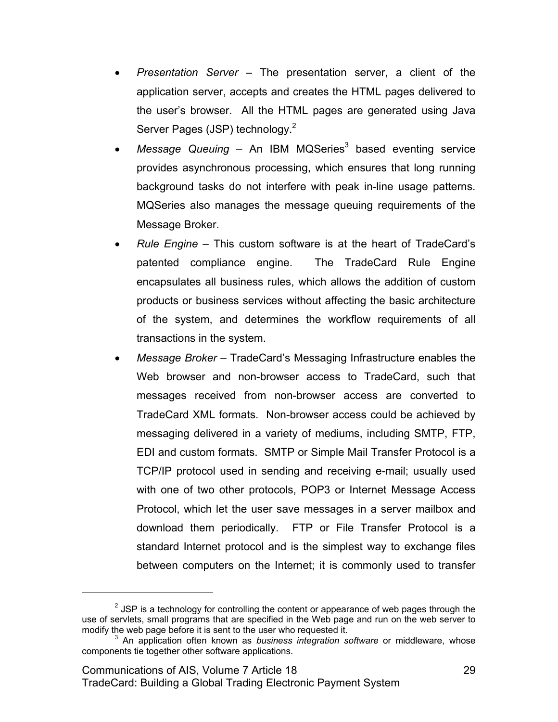- *Presentation Server* The presentation server, a client of the application server, accepts and creates the HTML pages delivered to the user's browser. All the HTML pages are generated using Java Server Pages (JSP) technology.<sup>2</sup>
- Message Queuing An IBM MQSeries<sup>3</sup> based eventing service provides asynchronous processing, which ensures that long running background tasks do not interfere with peak in-line usage patterns. MQSeries also manages the message queuing requirements of the Message Broker.
- *Rule Engine*  This custom software is at the heart of TradeCard's patented compliance engine. The TradeCard Rule Engine encapsulates all business rules, which allows the addition of custom products or business services without affecting the basic architecture of the system, and determines the workflow requirements of all transactions in the system.
- *Message Broker*  TradeCard's Messaging Infrastructure enables the Web browser and non-browser access to TradeCard, such that messages received from non-browser access are converted to TradeCard XML formats. Non-browser access could be achieved by messaging delivered in a variety of mediums, including SMTP, FTP, EDI and custom formats. SMTP or Simple Mail Transfer Protocol is a TCP/IP protocol used in sending and receiving e-mail; usually used with one of two other protocols, POP3 or Internet Message Access Protocol, which let the user save messages in a server mailbox and download them periodically. FTP or File Transfer Protocol is a standard Internet protocol and is the simplest way to exchange files between computers on the Internet; it is commonly used to transfer

 $\overline{a}$ 

 $2$  JSP is a technology for controlling the content or appearance of web pages through the use of servlets, small programs that are specified in the Web page and run on the web server to modify the web page before it is sent to the user who requested it.

<sup>&</sup>lt;sup>3</sup> An application often known as *business integration software* or middleware, whose components tie together other software applications.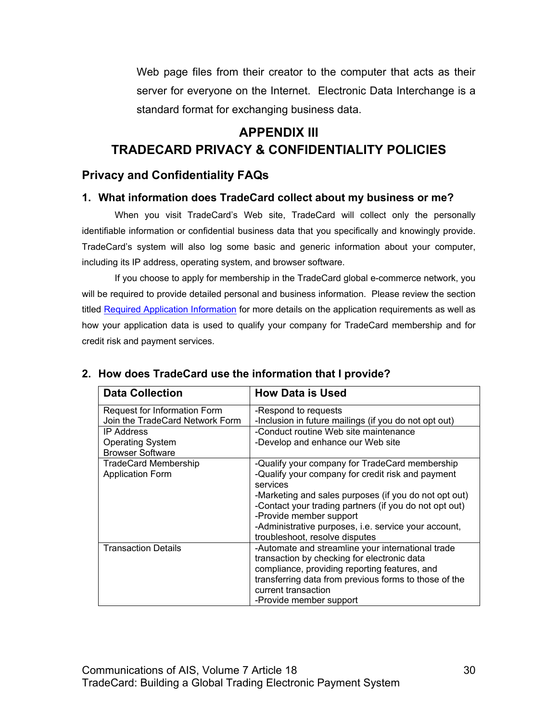Web page files from their creator to the computer that acts as their server for everyone on the Internet. Electronic Data Interchange is a standard format for exchanging business data.

# **APPENDIX III TRADECARD PRIVACY & CONFIDENTIALITY POLICIES**

#### **Privacy and Confidentiality FAQs**

#### **1. What information does TradeCard collect about my business or me?**

When you visit TradeCard's Web site, TradeCard will collect only the personally identifiable information or confidential business data that you specifically and knowingly provide. TradeCard's system will also log some basic and generic information about your computer, including its IP address, operating system, and browser software.

If you choose to apply for membership in the TradeCard global e-commerce network, you will be required to provide detailed personal and business information. Please review the section titled Required Application Information for more details on the application requirements as well as how your application data is used to qualify your company for TradeCard membership and for credit risk and payment services.

| <b>Data Collection</b>                                          | <b>How Data is Used</b>                                                                                                                                                                                                                                                                                                                                 |  |
|-----------------------------------------------------------------|---------------------------------------------------------------------------------------------------------------------------------------------------------------------------------------------------------------------------------------------------------------------------------------------------------------------------------------------------------|--|
| Request for Information Form<br>Join the TradeCard Network Form | -Respond to requests<br>-Inclusion in future mailings (if you do not opt out)                                                                                                                                                                                                                                                                           |  |
| <b>IP Address</b>                                               | -Conduct routine Web site maintenance                                                                                                                                                                                                                                                                                                                   |  |
| <b>Operating System</b><br><b>Browser Software</b>              | -Develop and enhance our Web site                                                                                                                                                                                                                                                                                                                       |  |
| <b>TradeCard Membership</b><br><b>Application Form</b>          | -Qualify your company for TradeCard membership<br>-Qualify your company for credit risk and payment<br>services<br>-Marketing and sales purposes (if you do not opt out)<br>-Contact your trading partners (if you do not opt out)<br>-Provide member support<br>-Administrative purposes, i.e. service your account,<br>troubleshoot, resolve disputes |  |
| <b>Transaction Details</b>                                      | -Automate and streamline your international trade<br>transaction by checking for electronic data<br>compliance, providing reporting features, and<br>transferring data from previous forms to those of the<br>current transaction<br>-Provide member support                                                                                            |  |

#### **2. How does TradeCard use the information that I provide?**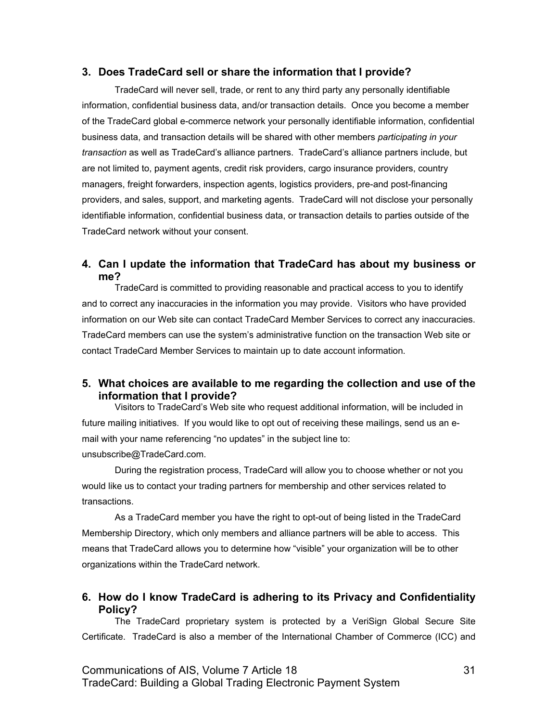#### **3. Does TradeCard sell or share the information that I provide?**

TradeCard will never sell, trade, or rent to any third party any personally identifiable information, confidential business data, and/or transaction details. Once you become a member of the TradeCard global e-commerce network your personally identifiable information, confidential business data, and transaction details will be shared with other members *participating in your transaction* as well as TradeCard's alliance partners. TradeCard's alliance partners include, but are not limited to, payment agents, credit risk providers, cargo insurance providers, country managers, freight forwarders, inspection agents, logistics providers, pre-and post-financing providers, and sales, support, and marketing agents. TradeCard will not disclose your personally identifiable information, confidential business data, or transaction details to parties outside of the TradeCard network without your consent.

#### **4. Can I update the information that TradeCard has about my business or me?**

TradeCard is committed to providing reasonable and practical access to you to identify and to correct any inaccuracies in the information you may provide. Visitors who have provided information on our Web site can contact TradeCard Member Services to correct any inaccuracies. TradeCard members can use the system's administrative function on the transaction Web site or contact TradeCard Member Services to maintain up to date account information.

#### **5. What choices are available to me regarding the collection and use of the information that I provide?**

Visitors to TradeCard's Web site who request additional information, will be included in future mailing initiatives. If you would like to opt out of receiving these mailings, send us an email with your name referencing "no updates" in the subject line to: unsubscribe@TradeCard.com.

During the registration process, TradeCard will allow you to choose whether or not you would like us to contact your trading partners for membership and other services related to transactions.

As a TradeCard member you have the right to opt-out of being listed in the TradeCard Membership Directory, which only members and alliance partners will be able to access. This means that TradeCard allows you to determine how "visible" your organization will be to other organizations within the TradeCard network.

#### **6. How do I know TradeCard is adhering to its Privacy and Confidentiality Policy?**

The TradeCard proprietary system is protected by a VeriSign Global Secure Site Certificate. TradeCard is also a member of the International Chamber of Commerce (ICC) and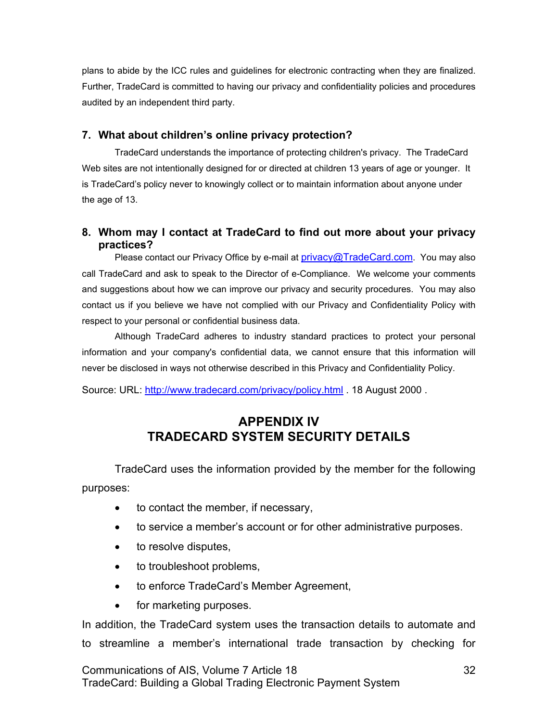plans to abide by the ICC rules and guidelines for electronic contracting when they are finalized. Further, TradeCard is committed to having our privacy and confidentiality policies and procedures audited by an independent third party.

#### **7. What about children's online privacy protection?**

TradeCard understands the importance of protecting children's privacy. The TradeCard Web sites are not intentionally designed for or directed at children 13 years of age or younger. It is TradeCard's policy never to knowingly collect or to maintain information about anyone under the age of 13.

#### **8. Whom may I contact at TradeCard to find out more about your privacy practices?**

Please contact our Privacy Office by e-mail at  $\text{privacy}$  $@ \text{Tradecard.com}$ . You may also call TradeCard and ask to speak to the Director of e-Compliance. We welcome your comments and suggestions about how we can improve our privacy and security procedures. You may also contact us if you believe we have not complied with our Privacy and Confidentiality Policy with respect to your personal or confidential business data.

Although TradeCard adheres to industry standard practices to protect your personal information and your company's confidential data, we cannot ensure that this information will never be disclosed in ways not otherwise described in this Privacy and Confidentiality Policy.

Source: URL: http://www.tradecard.com/privacy/policy.html . 18 August 2000 .

### **APPENDIX IV TRADECARD SYSTEM SECURITY DETAILS**

TradeCard uses the information provided by the member for the following purposes:

- to contact the member, if necessary,
- to service a member's account or for other administrative purposes.
- to resolve disputes,
- to troubleshoot problems,
- to enforce TradeCard's Member Agreement,
- for marketing purposes.

In addition, the TradeCard system uses the transaction details to automate and to streamline a member's international trade transaction by checking for

Communications of AIS, Volume 7 Article 18 32 TradeCard: Building a Global Trading Electronic Payment System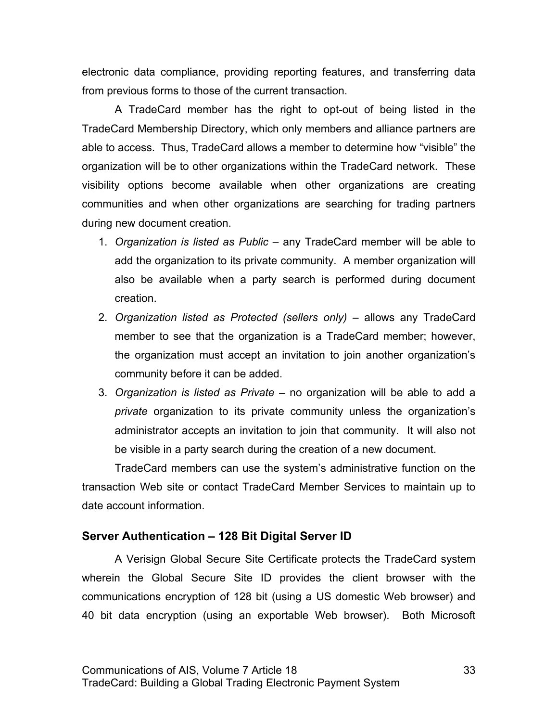electronic data compliance, providing reporting features, and transferring data from previous forms to those of the current transaction.

A TradeCard member has the right to opt-out of being listed in the TradeCard Membership Directory, which only members and alliance partners are able to access. Thus, TradeCard allows a member to determine how "visible" the organization will be to other organizations within the TradeCard network. These visibility options become available when other organizations are creating communities and when other organizations are searching for trading partners during new document creation.

- 1. *Organization is listed as Public* any TradeCard member will be able to add the organization to its private community. A member organization will also be available when a party search is performed during document creation.
- 2. *Organization listed as Protected (sellers only)* allows any TradeCard member to see that the organization is a TradeCard member; however, the organization must accept an invitation to join another organization's community before it can be added.
- 3. *Organization is listed as Private* no organization will be able to add a *private* organization to its private community unless the organization's administrator accepts an invitation to join that community. It will also not be visible in a party search during the creation of a new document.

TradeCard members can use the system's administrative function on the transaction Web site or contact TradeCard Member Services to maintain up to date account information.

#### **Server Authentication – 128 Bit Digital Server ID**

A Verisign Global Secure Site Certificate protects the TradeCard system wherein the Global Secure Site ID provides the client browser with the communications encryption of 128 bit (using a US domestic Web browser) and 40 bit data encryption (using an exportable Web browser). Both Microsoft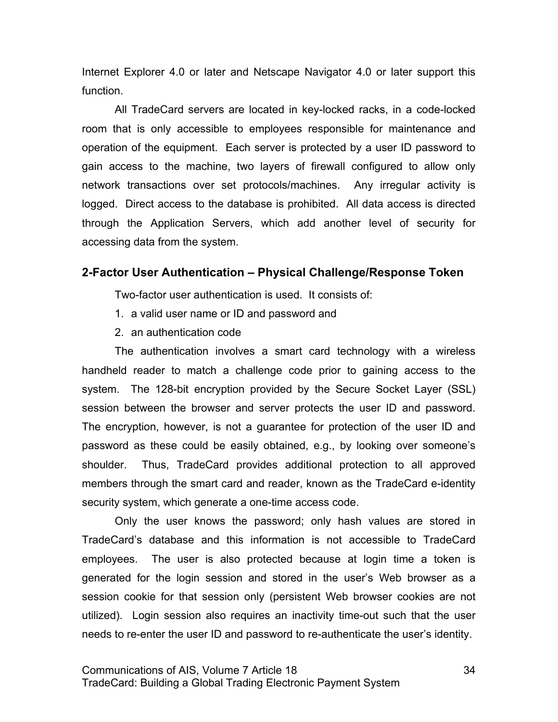Internet Explorer 4.0 or later and Netscape Navigator 4.0 or later support this function.

All TradeCard servers are located in key-locked racks, in a code-locked room that is only accessible to employees responsible for maintenance and operation of the equipment. Each server is protected by a user ID password to gain access to the machine, two layers of firewall configured to allow only network transactions over set protocols/machines. Any irregular activity is logged. Direct access to the database is prohibited. All data access is directed through the Application Servers, which add another level of security for accessing data from the system.

#### **2-Factor User Authentication – Physical Challenge/Response Token**

Two-factor user authentication is used. It consists of:

- 1. a valid user name or ID and password and
- 2. an authentication code

The authentication involves a smart card technology with a wireless handheld reader to match a challenge code prior to gaining access to the system. The 128-bit encryption provided by the Secure Socket Layer (SSL) session between the browser and server protects the user ID and password. The encryption, however, is not a guarantee for protection of the user ID and password as these could be easily obtained, e.g., by looking over someone's shoulder. Thus, TradeCard provides additional protection to all approved members through the smart card and reader, known as the TradeCard e-identity security system, which generate a one-time access code.

Only the user knows the password; only hash values are stored in TradeCard's database and this information is not accessible to TradeCard employees. The user is also protected because at login time a token is generated for the login session and stored in the user's Web browser as a session cookie for that session only (persistent Web browser cookies are not utilized). Login session also requires an inactivity time-out such that the user needs to re-enter the user ID and password to re-authenticate the user's identity.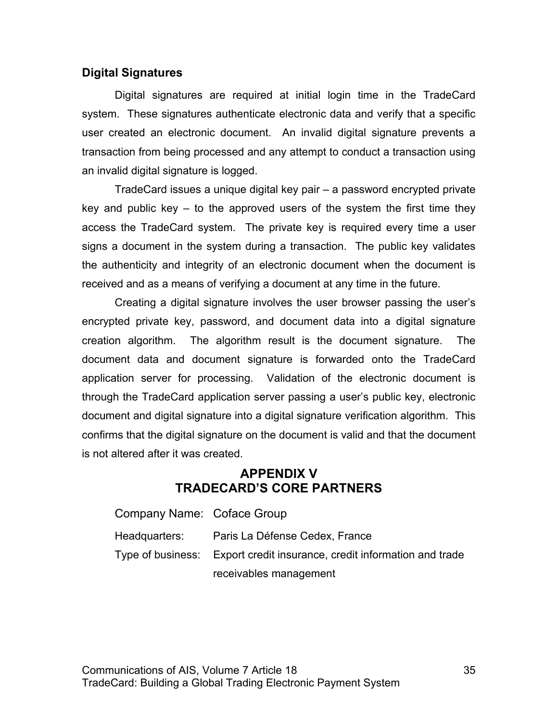#### **Digital Signatures**

Digital signatures are required at initial login time in the TradeCard system. These signatures authenticate electronic data and verify that a specific user created an electronic document. An invalid digital signature prevents a transaction from being processed and any attempt to conduct a transaction using an invalid digital signature is logged.

TradeCard issues a unique digital key pair – a password encrypted private key and public key – to the approved users of the system the first time they access the TradeCard system. The private key is required every time a user signs a document in the system during a transaction. The public key validates the authenticity and integrity of an electronic document when the document is received and as a means of verifying a document at any time in the future.

Creating a digital signature involves the user browser passing the user's encrypted private key, password, and document data into a digital signature creation algorithm. The algorithm result is the document signature. The document data and document signature is forwarded onto the TradeCard application server for processing. Validation of the electronic document is through the TradeCard application server passing a user's public key, electronic document and digital signature into a digital signature verification algorithm. This confirms that the digital signature on the document is valid and that the document is not altered after it was created.

#### **APPENDIX V TRADECARD'S CORE PARTNERS**

| Company Name: Coface Group |                                                                         |
|----------------------------|-------------------------------------------------------------------------|
| Headquarters:              | Paris La Défense Cedex, France                                          |
|                            | Type of business: Export credit insurance, credit information and trade |
|                            | receivables management                                                  |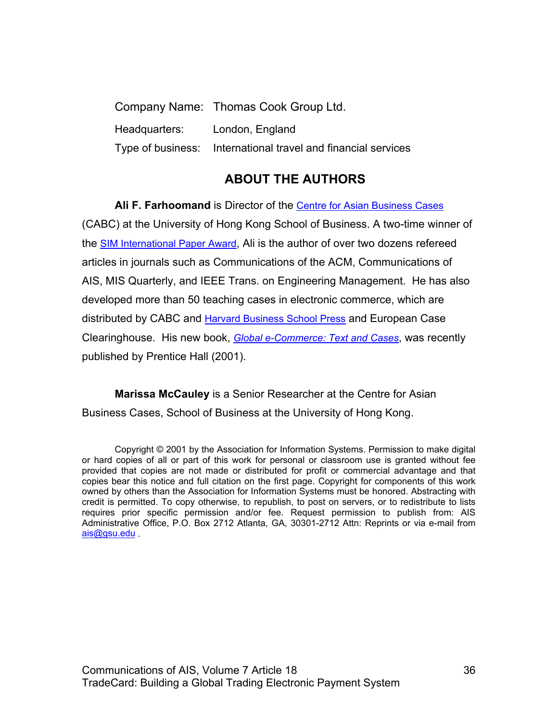|               | Company Name: Thomas Cook Group Ltd.                          |
|---------------|---------------------------------------------------------------|
| Headquarters: | London, England                                               |
|               | Type of business: International travel and financial services |

#### **ABOUT THE AUTHORS**

**Ali F. Farhoomand** is Director of the Centre for Asian Business Cases (CABC) at the University of Hong Kong School of Business. A two-time winner of the SIM International Paper Award, Ali is the author of over two dozens refereed articles in journals such as Communications of the ACM, Communications of AIS, MIS Quarterly, and IEEE Trans. on Engineering Management. He has also developed more than 50 teaching cases in electronic commerce, which are distributed by CABC and Harvard Business School Press and European Case Clearinghouse. His new book, *Global e-Commerce: Text and Cases*, was recently published by Prentice Hall (2001).

**Marissa McCauley** is a Senior Researcher at the Centre for Asian Business Cases, School of Business at the University of Hong Kong.

Copyright © 2001 by the Association for Information Systems. Permission to make digital or hard copies of all or part of this work for personal or classroom use is granted without fee provided that copies are not made or distributed for profit or commercial advantage and that copies bear this notice and full citation on the first page. Copyright for components of this work owned by others than the Association for Information Systems must be honored. Abstracting with credit is permitted. To copy otherwise, to republish, to post on servers, or to redistribute to lists requires prior specific permission and/or fee. Request permission to publish from: AIS Administrative Office, P.O. Box 2712 Atlanta, GA, 30301-2712 Attn: Reprints or via e-mail from ais@gsu.edu .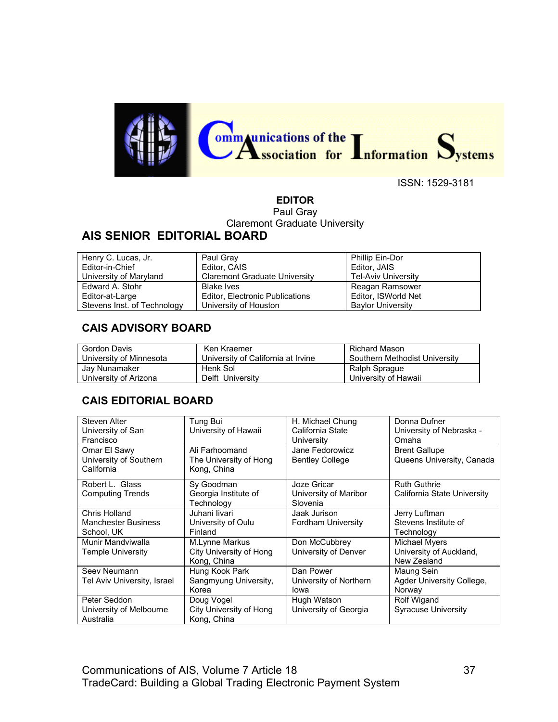

ISSN: 1529-3181

**EDITOR**  Paul Gray Claremont Graduate University

#### **AIS SENIOR EDITORIAL BOARD**

| Henry C. Lucas, Jr.         | Paul Gray                              | Phillip Ein-Dor            |
|-----------------------------|----------------------------------------|----------------------------|
| Editor-in-Chief             | Editor, CAIS                           | Editor, JAIS               |
| University of Maryland      | <b>Claremont Graduate University</b>   | <b>Tel-Aviv University</b> |
| Edward A. Stohr             | <b>Blake Ives</b>                      | Reagan Ramsower            |
| Editor-at-Large             | <b>Editor, Electronic Publications</b> | Editor, ISWorld Net        |
| Stevens Inst. of Technology | University of Houston                  | <b>Baylor University</b>   |

#### **CAIS ADVISORY BOARD**

| Gordon Davis            | Ken Kraemer                        | Richard Mason                 |
|-------------------------|------------------------------------|-------------------------------|
| University of Minnesota | University of California at Irvine | Southern Methodist University |
| Jav Nunamaker           | Henk Sol                           | Ralph Sprague                 |
| University of Arizona   | Delft University                   | University of Hawaii          |

#### **CAIS EDITORIAL BOARD**

| Steven Alter<br>University of San<br>Francisco            | Tung Bui<br>University of Hawaii                         | H. Michael Chung<br>California State<br>University | Donna Dufner<br>University of Nebraska -<br>Omaha       |
|-----------------------------------------------------------|----------------------------------------------------------|----------------------------------------------------|---------------------------------------------------------|
| Omar El Sawy<br>University of Southern<br>California      | Ali Farhoomand<br>The University of Hong<br>Kong, China  | Jane Fedorowicz<br><b>Bentley College</b>          | <b>Brent Gallupe</b><br>Queens University, Canada       |
| Robert L. Glass<br><b>Computing Trends</b>                | Sy Goodman<br>Georgia Institute of<br>Technology         | Joze Gricar<br>University of Maribor<br>Slovenia   | <b>Ruth Guthrie</b><br>California State University      |
| Chris Holland<br><b>Manchester Business</b><br>School, UK | Juhani livari<br>University of Oulu<br>Finland           | Jaak Jurison<br><b>Fordham University</b>          | Jerry Luftman<br>Stevens Institute of<br>Technology     |
| Munir Mandviwalla<br>Temple University                    | M.Lynne Markus<br>City University of Hong<br>Kong, China | Don McCubbrey<br>University of Denver              | Michael Myers<br>University of Auckland,<br>New Zealand |
| Seev Neumann<br>Tel Aviv University, Israel               | Hung Kook Park<br>Sangmyung University,<br>Korea         | Dan Power<br>University of Northern<br>lowa        | Maung Sein<br>Agder University College,<br>Norway       |
| Peter Seddon<br>University of Melbourne<br>Australia      | Doug Vogel<br>City University of Hong<br>Kong, China     | Hugh Watson<br>University of Georgia               | Rolf Wigand<br><b>Syracuse University</b>               |